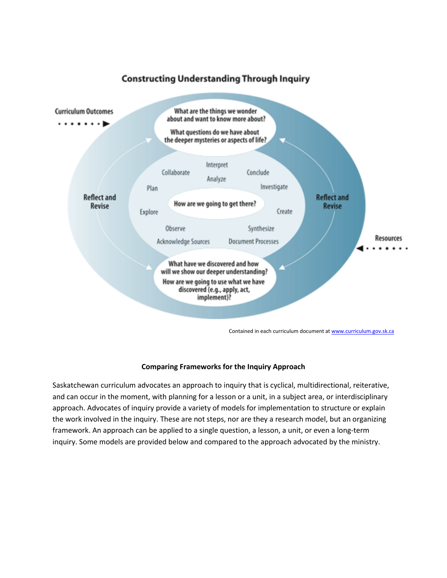

## **Constructing Understanding Through Inquiry**

Contained in each curriculum document a[t www.curriculum.gov.sk.ca](http://www.curriculum.gov.sk.ca/)

## **Comparing Frameworks for the Inquiry Approach**

Saskatchewan curriculum advocates an approach to inquiry that is cyclical, multidirectional, reiterative, and can occur in the moment, with planning for a lesson or a unit, in a subject area, or interdisciplinary approach. Advocates of inquiry provide a variety of models for implementation to structure or explain the work involved in the inquiry. These are not steps, nor are they a research model, but an organizing framework. An approach can be applied to a single question, a lesson, a unit, or even a long-term inquiry. Some models are provided below and compared to the approach advocated by the ministry.